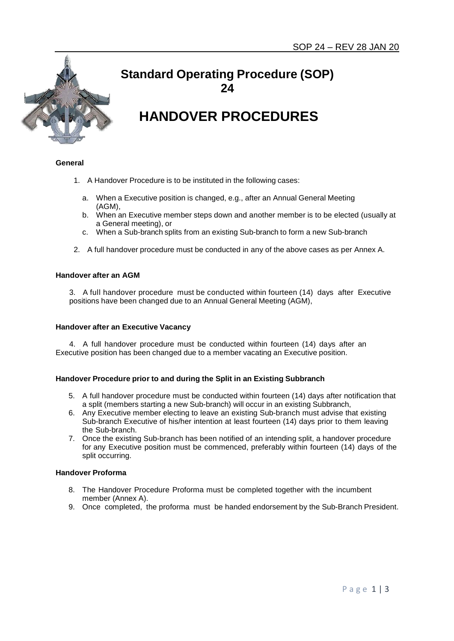

## **Standard Operating Procedure (SOP) 24**

# **HANDOVER PROCEDURES**

#### **General**

- 1. A Handover Procedure is to be instituted in the following cases:
	- a. When a Executive position is changed, e.g., after an Annual General Meeting (AGM),
	- b. When an Executive member steps down and another member is to be elected (usually at a General meeting), or
	- c. When a Sub-branch splits from an existing Sub-branch to form a new Sub-branch
- 2. A full handover procedure must be conducted in any of the above cases as per Annex A.

#### **Handover after an AGM**

3. A full handover procedure must be conducted within fourteen (14) days after Executive positions have been changed due to an Annual General Meeting (AGM),

#### **Handover after an Executive Vacancy**

4. A full handover procedure must be conducted within fourteen (14) days after an Executive position has been changed due to a member vacating an Executive position.

#### **Handover Procedure prior to and during the Split in an Existing Subbranch**

- 5. A full handover procedure must be conducted within fourteen (14) days after notification that a split (members starting a new Sub-branch) will occur in an existing Subbranch,
- 6. Any Executive member electing to leave an existing Sub-branch must advise that existing Sub-branch Executive of his/her intention at least fourteen (14) days prior to them leaving the Sub-branch.
- 7. Once the existing Sub-branch has been notified of an intending split, a handover procedure for any Executive position must be commenced, preferably within fourteen (14) days of the split occurring.

#### **Handover Proforma**

- 8. The Handover Procedure Proforma must be completed together with the incumbent member (Annex A).
- 9. Once completed, the proforma must be handed endorsement by the Sub-Branch President.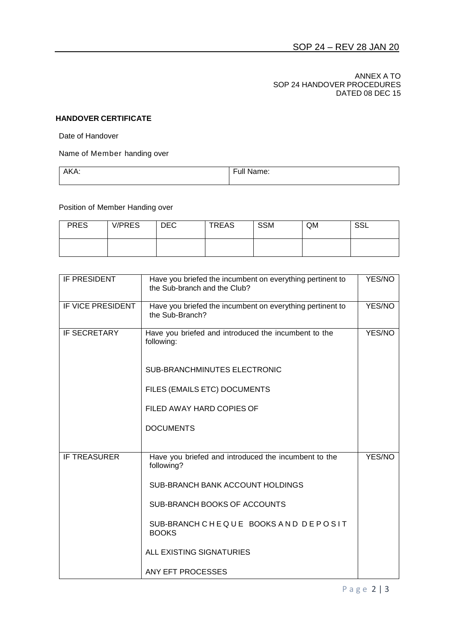#### ANNEX A TO SOP 24 HANDOVER PROCEDURES DATED 08 DEC 15

### **HANDOVER CERTIFICATE**

Date of Handover

Name of Member handing over

| AKA: | .<br>$\overline{\phantom{0}}$<br>Full<br>Name: |
|------|------------------------------------------------|
|      |                                                |

Position of Member Handing over

| <b>PRES</b> | <b>V/PRES</b> | <b>DEC</b> | <b>TREAS</b> | <b>SSM</b> | QM | <b>SSL</b> |
|-------------|---------------|------------|--------------|------------|----|------------|
|             |               |            |              |            |    |            |

| IF PRESIDENT        | Have you briefed the incumbent on everything pertinent to<br>the Sub-branch and the Club? | YES/NO |
|---------------------|-------------------------------------------------------------------------------------------|--------|
| IF VICE PRESIDENT   | Have you briefed the incumbent on everything pertinent to<br>the Sub-Branch?              | YES/NO |
| <b>IF SECRETARY</b> | Have you briefed and introduced the incumbent to the<br>following:                        | YES/NO |
|                     | <b>SUB-BRANCHMINUTES ELECTRONIC</b>                                                       |        |
|                     | FILES (EMAILS ETC) DOCUMENTS                                                              |        |
|                     | FILED AWAY HARD COPIES OF                                                                 |        |
|                     | <b>DOCUMENTS</b>                                                                          |        |
| <b>IF TREASURER</b> | Have you briefed and introduced the incumbent to the<br>following?                        | YES/NO |
|                     | SUB-BRANCH BANK ACCOUNT HOLDINGS                                                          |        |
|                     | SUB-BRANCH BOOKS OF ACCOUNTS                                                              |        |
|                     | SUB-BRANCH CHEQUE BOOKS AND DEPOSIT<br><b>BOOKS</b>                                       |        |
|                     | ALL EXISTING SIGNATURIES                                                                  |        |
|                     | ANY EFT PROCESSES                                                                         |        |